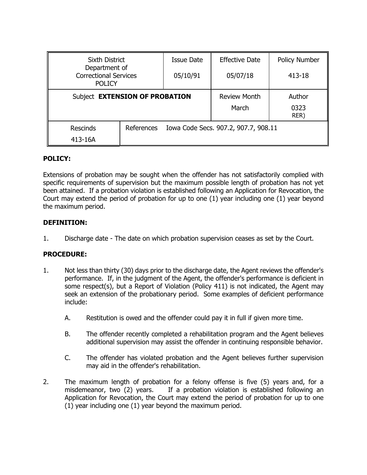| Sixth District                                                 |            | <b>Issue Date</b>                    | <b>Effective Date</b> | <b>Policy Number</b> |
|----------------------------------------------------------------|------------|--------------------------------------|-----------------------|----------------------|
| Department of<br><b>Correctional Services</b><br><b>POLICY</b> |            | 05/10/91                             | 05/07/18              | 413-18               |
| Subject EXTENSION OF PROBATION                                 |            |                                      | <b>Review Month</b>   | Author               |
|                                                                |            |                                      | March                 | 0323<br>RER)         |
| <b>Rescinds</b>                                                | References | Iowa Code Secs. 907.2, 907.7, 908.11 |                       |                      |
| 413-16A                                                        |            |                                      |                       |                      |

## **POLICY:**

Extensions of probation may be sought when the offender has not satisfactorily complied with specific requirements of supervision but the maximum possible length of probation has not yet been attained. If a probation violation is established following an Application for Revocation, the Court may extend the period of probation for up to one (1) year including one (1) year beyond the maximum period.

## **DEFINITION:**

1. Discharge date - The date on which probation supervision ceases as set by the Court.

# **PROCEDURE:**

- 1. Not less than thirty (30) days prior to the discharge date, the Agent reviews the offender's performance. If, in the judgment of the Agent, the offender's performance is deficient in some respect(s), but a Report of Violation (Policy 411) is not indicated, the Agent may seek an extension of the probationary period. Some examples of deficient performance include:
	- A. Restitution is owed and the offender could pay it in full if given more time.
	- B. The offender recently completed a rehabilitation program and the Agent believes additional supervision may assist the offender in continuing responsible behavior.
	- C. The offender has violated probation and the Agent believes further supervision may aid in the offender's rehabilitation.
- 2. The maximum length of probation for a felony offense is five (5) years and, for a misdemeanor, two (2) years. If a probation violation is established following an Application for Revocation, the Court may extend the period of probation for up to one (1) year including one (1) year beyond the maximum period.